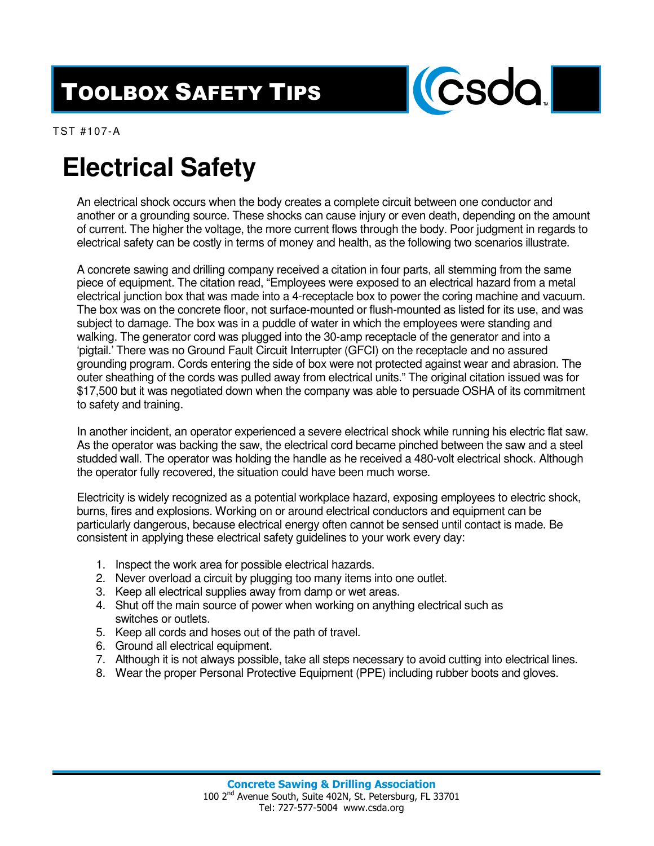## TOOLBOX SAFETY TIPS



TST #107-A

## **Electrical Safety**

An electrical shock occurs when the body creates a complete circuit between one conductor and another or a grounding source. These shocks can cause injury or even death, depending on the amount of current. The higher the voltage, the more current flows through the body. Poor judgment in regards to electrical safety can be costly in terms of money and health, as the following two scenarios illustrate.

A concrete sawing and drilling company received a citation in four parts, all stemming from the same piece of equipment. The citation read, "Employees were exposed to an electrical hazard from a metal electrical junction box that was made into a 4-receptacle box to power the coring machine and vacuum. The box was on the concrete floor, not surface-mounted or flush-mounted as listed for its use, and was subject to damage. The box was in a puddle of water in which the employees were standing and walking. The generator cord was plugged into the 30-amp receptacle of the generator and into a 'pigtail.' There was no Ground Fault Circuit Interrupter (GFCI) on the receptacle and no assured grounding program. Cords entering the side of box were not protected against wear and abrasion. The outer sheathing of the cords was pulled away from electrical units." The original citation issued was for \$17,500 but it was negotiated down when the company was able to persuade OSHA of its commitment to safety and training.

In another incident, an operator experienced a severe electrical shock while running his electric flat saw. As the operator was backing the saw, the electrical cord became pinched between the saw and a steel studded wall. The operator was holding the handle as he received a 480-volt electrical shock. Although the operator fully recovered, the situation could have been much worse.

Electricity is widely recognized as a potential workplace hazard, exposing employees to electric shock, burns, fires and explosions. Working on or around electrical conductors and equipment can be particularly dangerous, because electrical energy often cannot be sensed until contact is made. Be consistent in applying these electrical safety guidelines to your work every day:

- 1. Inspect the work area for possible electrical hazards.
- 2. Never overload a circuit by plugging too many items into one outlet.
- 3. Keep all electrical supplies away from damp or wet areas.
- 4. Shut off the main source of power when working on anything electrical such as switches or outlets.
- 5. Keep all cords and hoses out of the path of travel.
- 6. Ground all electrical equipment.
- 7. Although it is not always possible, take all steps necessary to avoid cutting into electrical lines.
- 8. Wear the proper Personal Protective Equipment (PPE) including rubber boots and gloves.